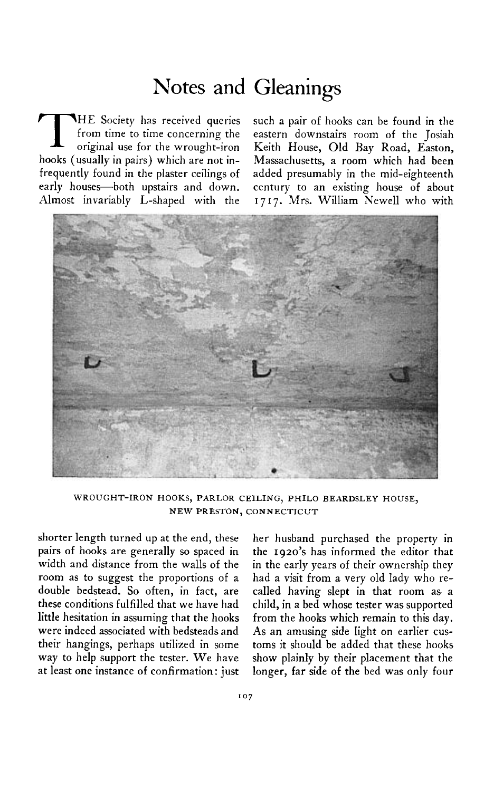## **Notes and Gleanings**

**THE** Society has received queries such a pair of hooks can be found in the from time to time concerning the eastern downstairs room of the Josiah original use for the wrought-iron Keith House, Old Bay Road, Easton,

**from time to time concerning the eastern downstairs room of the Josiah hooks (usually in pairs) which are not in- Massachusetts, a room which had been frequently found in the plaster ceilings of added presumably in the mid-eighteenth early houses-both upstairs and down. century to an existing house of about Almost invariably L-shaped with the I 717. Mrs. William Newell who with** 



**WROUGHT-IRON HOOKS, PARLOR CEILING, PHIL0 BEARDSLEY HOUSE, NEW PRESTON, CONNECTICUT** 

**shorter length turned up at the end, these pairs of hooks are generally so spaced in width and distance from the walls of the room as to suggest the proportions of a double bedstead. So often, in fact, are these conditions fulfilled that we have had little hesitation in assuming that the hooks were indeed associated with bedsteads and their hangings, perhaps utilized in some way to help support the tester. We have at least one instance of confirmation: just** 

**her husband purchased the property in the 1920's has informed the editor that in the early years of their ownership they had a visit from a very old lady who recalled having slept in that room as a child, in a bed whose tester was supported from the hooks which remain to this day. As an amusing side light on earlier customs it should be added that these hooks show plainly by their placement that the longer, far side of the bed was only four**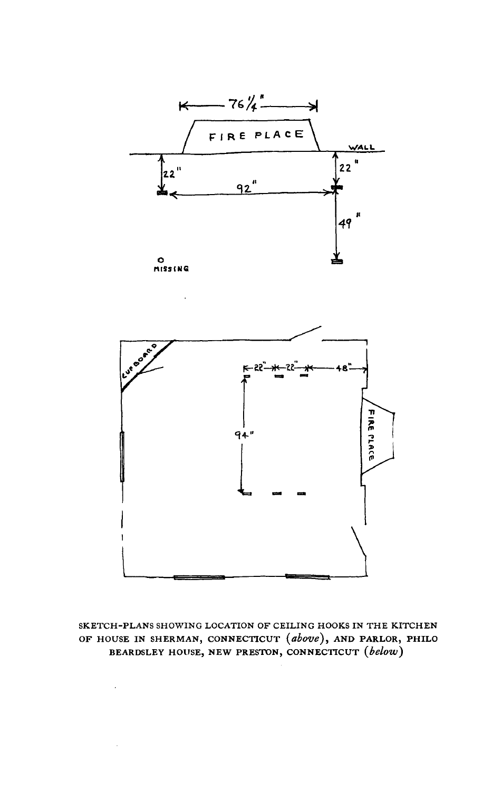



SKETCH-PLANS SHOWING LOCATION OF CEILING HOOKS IN THE KITCHEN OF HOUSE IN SHERMAN, CONNECTICUT (above), AND PARLOR, PHILO BEARDSLEY HOUSE, NEW PRESTON, CONNECTICUT (below)

 $\ddot{\phantom{a}}$